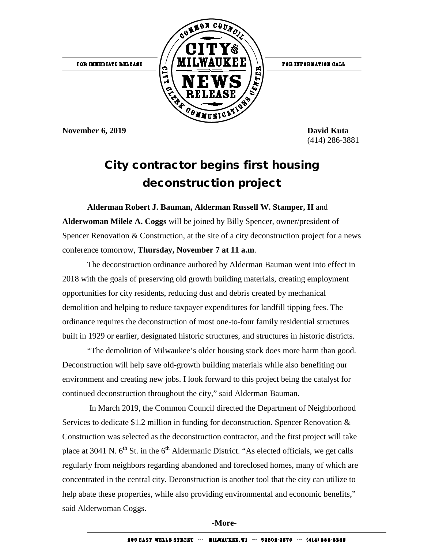

(414) 286-3881

## City contractor begins first housing deconstruction project

**Alderman Robert J. Bauman, Alderman Russell W. Stamper, II** and **Alderwoman Milele A. Coggs** will be joined by Billy Spencer, owner/president of Spencer Renovation & Construction, at the site of a city deconstruction project for a news conference tomorrow, **Thursday, November 7 at 11 a.m**.

The deconstruction ordinance authored by Alderman Bauman went into effect in 2018 with the goals of preserving old growth building materials, creating employment opportunities for city residents, reducing dust and debris created by mechanical demolition and helping to reduce taxpayer expenditures for landfill tipping fees. The ordinance requires the deconstruction of most one-to-four family residential structures built in 1929 or earlier, designated historic structures, and structures in historic districts.

"The demolition of Milwaukee's older housing stock does more harm than good. Deconstruction will help save old-growth building materials while also benefiting our environment and creating new jobs. I look forward to this project being the catalyst for continued deconstruction throughout the city," said Alderman Bauman.

In March 2019, the Common Council directed the Department of Neighborhood Services to dedicate \$1.2 million in funding for deconstruction. Spencer Renovation & Construction was selected as the deconstruction contractor, and the first project will take place at 3041 N.  $6<sup>th</sup>$  St. in the  $6<sup>th</sup>$  Aldermanic District. "As elected officials, we get calls regularly from neighbors regarding abandoned and foreclosed homes, many of which are concentrated in the central city. Deconstruction is another tool that the city can utilize to help abate these properties, while also providing environmental and economic benefits," said Alderwoman Coggs.

**-More-**